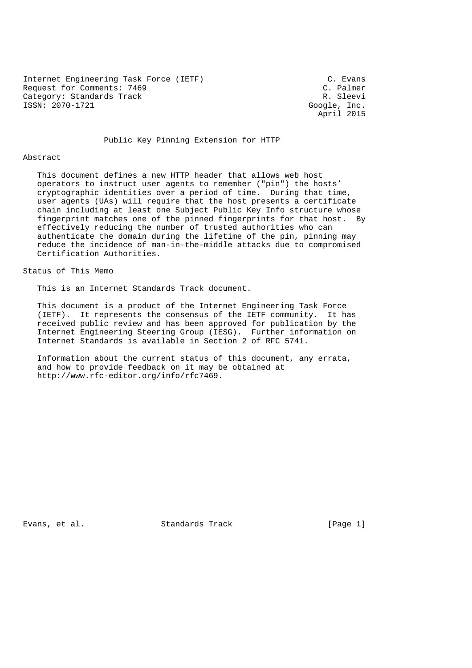Internet Engineering Task Force (IETF) (C. Evans C. Evans C. Evans Request for Comments: 7469<br>
Category: Standards Track<br>
Category: Standards Track Category: Standards Track ISSN: 2070-1721 Google, Inc.

April 2015

#### Public Key Pinning Extension for HTTP

#### Abstract

 This document defines a new HTTP header that allows web host operators to instruct user agents to remember ("pin") the hosts' cryptographic identities over a period of time. During that time, user agents (UAs) will require that the host presents a certificate chain including at least one Subject Public Key Info structure whose fingerprint matches one of the pinned fingerprints for that host. By effectively reducing the number of trusted authorities who can authenticate the domain during the lifetime of the pin, pinning may reduce the incidence of man-in-the-middle attacks due to compromised Certification Authorities.

### Status of This Memo

This is an Internet Standards Track document.

 This document is a product of the Internet Engineering Task Force (IETF). It represents the consensus of the IETF community. It has received public review and has been approved for publication by the Internet Engineering Steering Group (IESG). Further information on Internet Standards is available in Section 2 of RFC 5741.

 Information about the current status of this document, any errata, and how to provide feedback on it may be obtained at http://www.rfc-editor.org/info/rfc7469.

Evans, et al. Standards Track [Page 1]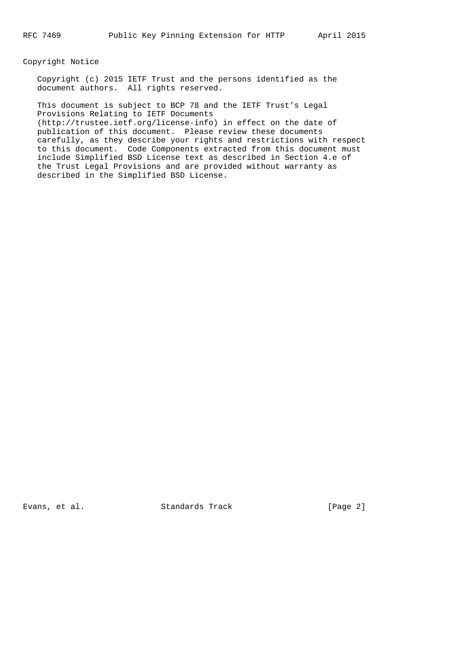### Copyright Notice

 Copyright (c) 2015 IETF Trust and the persons identified as the document authors. All rights reserved.

 This document is subject to BCP 78 and the IETF Trust's Legal Provisions Relating to IETF Documents (http://trustee.ietf.org/license-info) in effect on the date of publication of this document. Please review these documents carefully, as they describe your rights and restrictions with respect to this document. Code Components extracted from this document must include Simplified BSD License text as described in Section 4.e of the Trust Legal Provisions and are provided without warranty as described in the Simplified BSD License.

Evans, et al. Standards Track [Page 2]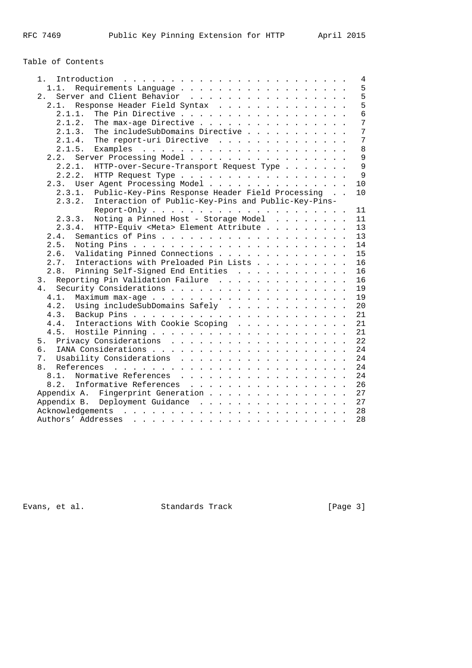# Table of Contents

| 1.                                                            | $\overline{4}$  |
|---------------------------------------------------------------|-----------------|
| 1.1.                                                          | 5               |
| Server and Client Behavior<br>2.1                             | 5               |
| Response Header Field Syntax<br>2.1.                          | 5               |
| The Pin Directive<br>2.1.1.                                   | $6\overline{6}$ |
| The max-age Directive<br>2.1.2.                               | 7               |
| The includeSubDomains Directive<br>2.1.3.                     | 7               |
| The report-uri Directive<br>2.1.4.                            | 7               |
| 2.1.5.                                                        | 8               |
| Server Processing Model<br>2.2.                               | $\mathsf{Q}$    |
| 2.2.1.<br>HTTP-over-Secure-Transport Request Type             | 9               |
| 2.2.2.<br>HTTP Request Type                                   | $\mathsf{Q}$    |
| 2.3. User Agent Processing Model                              | 10              |
| Public-Key-Pins Response Header Field Processing<br>2.3.1.    | 10              |
| Interaction of Public-Key-Pins and Public-Key-Pins-<br>2.3.2. |                 |
|                                                               | 11              |
| 2.3.3. Noting a Pinned Host - Storage Model                   | 11              |
| 2.3.4. HTTP-Equiv <meta/> Element Attribute                   | 13              |
| 2.4.                                                          | 13              |
| 2.5.                                                          | 14              |
| Validating Pinned Connections<br>2.6.                         | 15              |
| Interactions with Preloaded Pin Lists<br>2.7.                 | 16              |
| 2.8.                                                          |                 |
| Pinning Self-Signed End Entities                              | 16              |
| 3. Reporting Pin Validation Failure                           | 16              |
| 4.                                                            | 19              |
| 4.1.                                                          | 19              |
| Using includeSubDomains Safely<br>4.2.                        | 20              |
| 4.3.                                                          | 21              |
| Interactions With Cookie Scoping<br>4.4.                      | 21              |
| 4.5.                                                          | 21              |
|                                                               | 22              |
| б.                                                            | 24              |
| 7.                                                            | 24              |
| 8.                                                            | 24              |
| 8.1.<br>Normative References                                  | 24              |
| 8.2. Informative References                                   | 26              |
| Appendix A. Fingerprint Generation                            | 27              |
| Appendix B. Deployment Guidance                               | 27              |
|                                                               | 28              |
|                                                               | 28              |
|                                                               |                 |

Evans, et al. Standards Track [Page 3]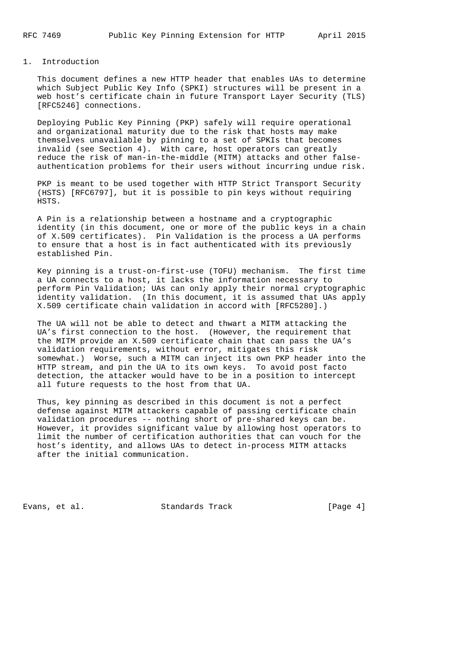#### 1. Introduction

 This document defines a new HTTP header that enables UAs to determine which Subject Public Key Info (SPKI) structures will be present in a web host's certificate chain in future Transport Layer Security (TLS) [RFC5246] connections.

 Deploying Public Key Pinning (PKP) safely will require operational and organizational maturity due to the risk that hosts may make themselves unavailable by pinning to a set of SPKIs that becomes invalid (see Section 4). With care, host operators can greatly reduce the risk of man-in-the-middle (MITM) attacks and other false authentication problems for their users without incurring undue risk.

 PKP is meant to be used together with HTTP Strict Transport Security (HSTS) [RFC6797], but it is possible to pin keys without requiring HSTS.

 A Pin is a relationship between a hostname and a cryptographic identity (in this document, one or more of the public keys in a chain of X.509 certificates). Pin Validation is the process a UA performs to ensure that a host is in fact authenticated with its previously established Pin.

 Key pinning is a trust-on-first-use (TOFU) mechanism. The first time a UA connects to a host, it lacks the information necessary to perform Pin Validation; UAs can only apply their normal cryptographic identity validation. (In this document, it is assumed that UAs apply X.509 certificate chain validation in accord with [RFC5280].)

 The UA will not be able to detect and thwart a MITM attacking the UA's first connection to the host. (However, the requirement that the MITM provide an X.509 certificate chain that can pass the UA's validation requirements, without error, mitigates this risk somewhat.) Worse, such a MITM can inject its own PKP header into the HTTP stream, and pin the UA to its own keys. To avoid post facto detection, the attacker would have to be in a position to intercept all future requests to the host from that UA.

 Thus, key pinning as described in this document is not a perfect defense against MITM attackers capable of passing certificate chain validation procedures -- nothing short of pre-shared keys can be. However, it provides significant value by allowing host operators to limit the number of certification authorities that can vouch for the host's identity, and allows UAs to detect in-process MITM attacks after the initial communication.

Evans, et al. Standards Track [Page 4]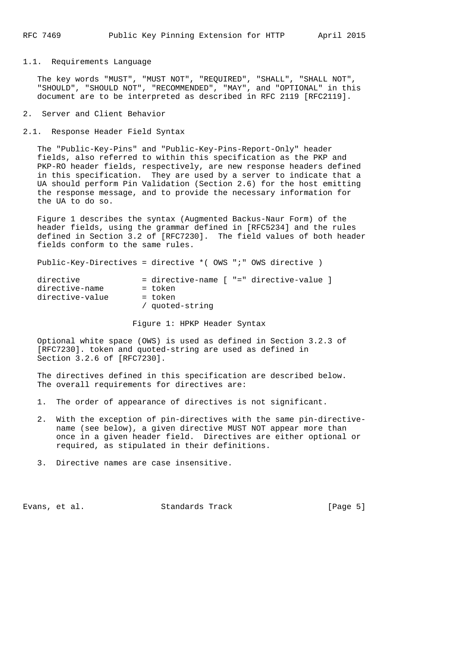#### 1.1. Requirements Language

 The key words "MUST", "MUST NOT", "REQUIRED", "SHALL", "SHALL NOT", "SHOULD", "SHOULD NOT", "RECOMMENDED", "MAY", and "OPTIONAL" in this document are to be interpreted as described in RFC 2119 [RFC2119].

2. Server and Client Behavior

2.1. Response Header Field Syntax

 The "Public-Key-Pins" and "Public-Key-Pins-Report-Only" header fields, also referred to within this specification as the PKP and PKP-RO header fields, respectively, are new response headers defined in this specification. They are used by a server to indicate that a UA should perform Pin Validation (Section 2.6) for the host emitting the response message, and to provide the necessary information for the UA to do so.

 Figure 1 describes the syntax (Augmented Backus-Naur Form) of the header fields, using the grammar defined in [RFC5234] and the rules defined in Section 3.2 of [RFC7230]. The field values of both header fields conform to the same rules.

Public-Key-Directives = directive \*( OWS ";" OWS directive )

| directive       |                 |  | = directive-name [ "=" directive-value ] |  |
|-----------------|-----------------|--|------------------------------------------|--|
| directive-name  | = token         |  |                                          |  |
| directive-value | = token         |  |                                          |  |
|                 | / quoted-string |  |                                          |  |
|                 |                 |  |                                          |  |

Figure 1: HPKP Header Syntax

 Optional white space (OWS) is used as defined in Section 3.2.3 of [RFC7230]. token and quoted-string are used as defined in Section 3.2.6 of [RFC7230].

 The directives defined in this specification are described below. The overall requirements for directives are:

1. The order of appearance of directives is not significant.

- 2. With the exception of pin-directives with the same pin-directive name (see below), a given directive MUST NOT appear more than once in a given header field. Directives are either optional or required, as stipulated in their definitions.
- 3. Directive names are case insensitive.

Evans, et al. Standards Track [Page 5]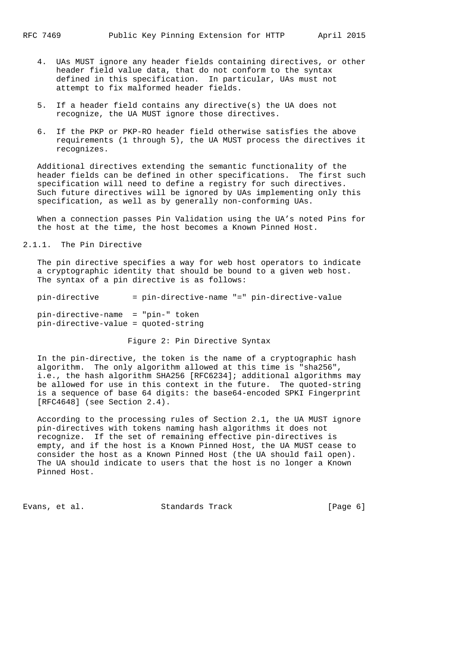- 4. UAs MUST ignore any header fields containing directives, or other header field value data, that do not conform to the syntax defined in this specification. In particular, UAs must not attempt to fix malformed header fields.
- 5. If a header field contains any directive(s) the UA does not recognize, the UA MUST ignore those directives.
- 6. If the PKP or PKP-RO header field otherwise satisfies the above requirements (1 through 5), the UA MUST process the directives it recognizes.

 Additional directives extending the semantic functionality of the header fields can be defined in other specifications. The first such specification will need to define a registry for such directives. Such future directives will be ignored by UAs implementing only this specification, as well as by generally non-conforming UAs.

 When a connection passes Pin Validation using the UA's noted Pins for the host at the time, the host becomes a Known Pinned Host.

2.1.1. The Pin Directive

 The pin directive specifies a way for web host operators to indicate a cryptographic identity that should be bound to a given web host. The syntax of a pin directive is as follows:

 pin-directive = pin-directive-name "=" pin-directive-value pin-directive-name = "pin-" token pin-directive-value = quoted-string

Figure 2: Pin Directive Syntax

 In the pin-directive, the token is the name of a cryptographic hash algorithm. The only algorithm allowed at this time is "sha256", i.e., the hash algorithm SHA256 [RFC6234]; additional algorithms may be allowed for use in this context in the future. The quoted-string is a sequence of base 64 digits: the base64-encoded SPKI Fingerprint [RFC4648] (see Section 2.4).

 According to the processing rules of Section 2.1, the UA MUST ignore pin-directives with tokens naming hash algorithms it does not recognize. If the set of remaining effective pin-directives is empty, and if the host is a Known Pinned Host, the UA MUST cease to consider the host as a Known Pinned Host (the UA should fail open). The UA should indicate to users that the host is no longer a Known Pinned Host.

Evans, et al. Standards Track [Page 6]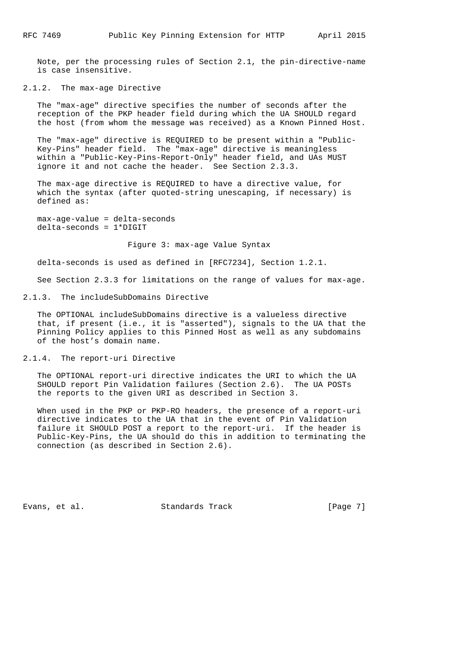Note, per the processing rules of Section 2.1, the pin-directive-name is case insensitive.

# 2.1.2. The max-age Directive

 The "max-age" directive specifies the number of seconds after the reception of the PKP header field during which the UA SHOULD regard the host (from whom the message was received) as a Known Pinned Host.

 The "max-age" directive is REQUIRED to be present within a "Public- Key-Pins" header field. The "max-age" directive is meaningless within a "Public-Key-Pins-Report-Only" header field, and UAs MUST ignore it and not cache the header. See Section 2.3.3.

 The max-age directive is REQUIRED to have a directive value, for which the syntax (after quoted-string unescaping, if necessary) is defined as:

 max-age-value = delta-seconds delta-seconds = 1\*DIGIT

Figure 3: max-age Value Syntax

delta-seconds is used as defined in [RFC7234], Section 1.2.1.

See Section 2.3.3 for limitations on the range of values for max-age.

#### 2.1.3. The includeSubDomains Directive

 The OPTIONAL includeSubDomains directive is a valueless directive that, if present (i.e., it is "asserted"), signals to the UA that the Pinning Policy applies to this Pinned Host as well as any subdomains of the host's domain name.

2.1.4. The report-uri Directive

 The OPTIONAL report-uri directive indicates the URI to which the UA SHOULD report Pin Validation failures (Section 2.6). The UA POSTs the reports to the given URI as described in Section 3.

 When used in the PKP or PKP-RO headers, the presence of a report-uri directive indicates to the UA that in the event of Pin Validation failure it SHOULD POST a report to the report-uri. If the header is Public-Key-Pins, the UA should do this in addition to terminating the connection (as described in Section 2.6).

Evans, et al. Standards Track [Page 7]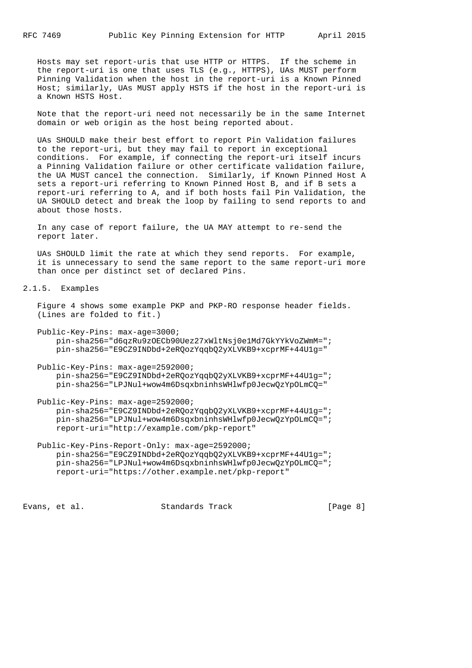Hosts may set report-uris that use HTTP or HTTPS. If the scheme in the report-uri is one that uses TLS (e.g., HTTPS), UAs MUST perform Pinning Validation when the host in the report-uri is a Known Pinned Host; similarly, UAs MUST apply HSTS if the host in the report-uri is a Known HSTS Host.

 Note that the report-uri need not necessarily be in the same Internet domain or web origin as the host being reported about.

 UAs SHOULD make their best effort to report Pin Validation failures to the report-uri, but they may fail to report in exceptional conditions. For example, if connecting the report-uri itself incurs a Pinning Validation failure or other certificate validation failure, the UA MUST cancel the connection. Similarly, if Known Pinned Host A sets a report-uri referring to Known Pinned Host B, and if B sets a report-uri referring to A, and if both hosts fail Pin Validation, the UA SHOULD detect and break the loop by failing to send reports to and about those hosts.

 In any case of report failure, the UA MAY attempt to re-send the report later.

 UAs SHOULD limit the rate at which they send reports. For example, it is unnecessary to send the same report to the same report-uri more than once per distinct set of declared Pins.

2.1.5. Examples

 Figure 4 shows some example PKP and PKP-RO response header fields. (Lines are folded to fit.)

 Public-Key-Pins: max-age=3000; pin-sha256="d6qzRu9zOECb90Uez27xWltNsj0e1Md7GkYYkVoZWmM="; pin-sha256="E9CZ9INDbd+2eRQozYqqbQ2yXLVKB9+xcprMF+44U1g="

 Public-Key-Pins: max-age=2592000; pin-sha256="E9CZ9INDbd+2eRQozYqqbQ2yXLVKB9+xcprMF+44U1g="; pin-sha256="LPJNul+wow4m6DsqxbninhsWHlwfp0JecwQzYpOLmCQ="

 Public-Key-Pins: max-age=2592000; pin-sha256="E9CZ9INDbd+2eRQozYqqbQ2yXLVKB9+xcprMF+44U1g="; pin-sha256="LPJNul+wow4m6DsqxbninhsWHlwfp0JecwQzYpOLmCQ="; report-uri="http://example.com/pkp-report"

```
 Public-Key-Pins-Report-Only: max-age=2592000;
    pin-sha256="E9CZ9INDbd+2eRQozYqqbQ2yXLVKB9+xcprMF+44U1g=";
    pin-sha256="LPJNul+wow4m6DsqxbninhsWHlwfp0JecwQzYpOLmCQ=";
     report-uri="https://other.example.net/pkp-report"
```
Evans, et al. Standards Track [Page 8]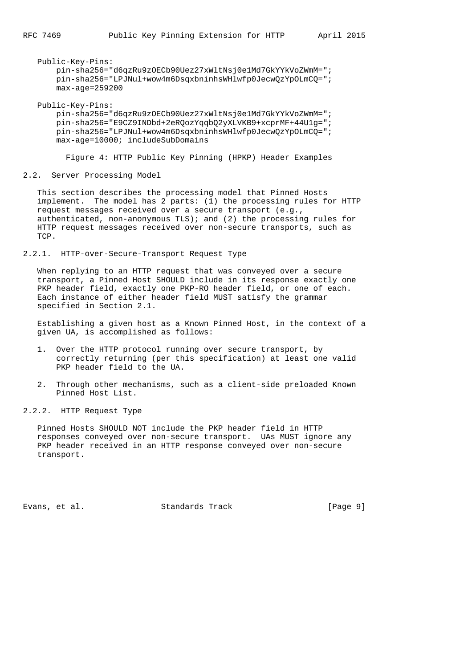```
 Public-Key-Pins:
     pin-sha256="d6qzRu9zOECb90Uez27xWltNsj0e1Md7GkYYkVoZWmM=";
     pin-sha256="LPJNul+wow4m6DsqxbninhsWHlwfp0JecwQzYpOLmCQ=";
     max-age=259200
```
Public-Key-Pins:

 pin-sha256="d6qzRu9zOECb90Uez27xWltNsj0e1Md7GkYYkVoZWmM="; pin-sha256="E9CZ9INDbd+2eRQozYqqbQ2yXLVKB9+xcprMF+44U1g="; pin-sha256="LPJNul+wow4m6DsqxbninhsWHlwfp0JecwQzYpOLmCQ="; max-age=10000; includeSubDomains

Figure 4: HTTP Public Key Pinning (HPKP) Header Examples

2.2. Server Processing Model

 This section describes the processing model that Pinned Hosts implement. The model has 2 parts: (1) the processing rules for HTTP request messages received over a secure transport (e.g., authenticated, non-anonymous TLS); and (2) the processing rules for HTTP request messages received over non-secure transports, such as TCP.

2.2.1. HTTP-over-Secure-Transport Request Type

 When replying to an HTTP request that was conveyed over a secure transport, a Pinned Host SHOULD include in its response exactly one PKP header field, exactly one PKP-RO header field, or one of each. Each instance of either header field MUST satisfy the grammar specified in Section 2.1.

 Establishing a given host as a Known Pinned Host, in the context of a given UA, is accomplished as follows:

- 1. Over the HTTP protocol running over secure transport, by correctly returning (per this specification) at least one valid PKP header field to the UA.
- 2. Through other mechanisms, such as a client-side preloaded Known Pinned Host List.
- 2.2.2. HTTP Request Type

 Pinned Hosts SHOULD NOT include the PKP header field in HTTP responses conveyed over non-secure transport. UAs MUST ignore any PKP header received in an HTTP response conveyed over non-secure transport.

Evans, et al. Standards Track [Page 9]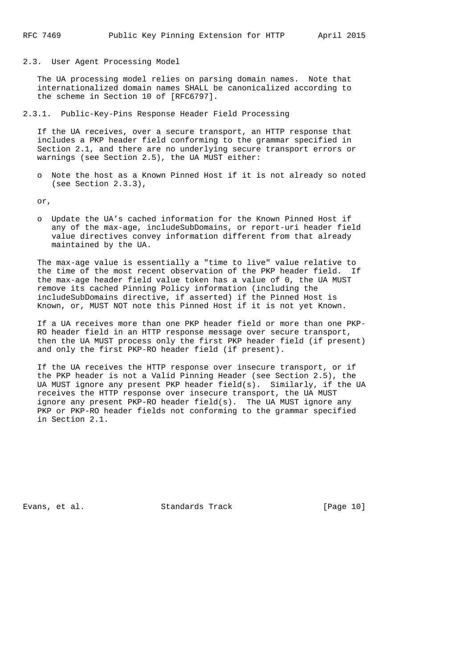2.3. User Agent Processing Model

 The UA processing model relies on parsing domain names. Note that internationalized domain names SHALL be canonicalized according to the scheme in Section 10 of [RFC6797].

2.3.1. Public-Key-Pins Response Header Field Processing

 If the UA receives, over a secure transport, an HTTP response that includes a PKP header field conforming to the grammar specified in Section 2.1, and there are no underlying secure transport errors or warnings (see Section 2.5), the UA MUST either:

 o Note the host as a Known Pinned Host if it is not already so noted (see Section 2.3.3),

or,

 o Update the UA's cached information for the Known Pinned Host if any of the max-age, includeSubDomains, or report-uri header field value directives convey information different from that already maintained by the UA.

 The max-age value is essentially a "time to live" value relative to the time of the most recent observation of the PKP header field. If the max-age header field value token has a value of 0, the UA MUST remove its cached Pinning Policy information (including the includeSubDomains directive, if asserted) if the Pinned Host is Known, or, MUST NOT note this Pinned Host if it is not yet Known.

 If a UA receives more than one PKP header field or more than one PKP- RO header field in an HTTP response message over secure transport, then the UA MUST process only the first PKP header field (if present) and only the first PKP-RO header field (if present).

 If the UA receives the HTTP response over insecure transport, or if the PKP header is not a Valid Pinning Header (see Section 2.5), the UA MUST ignore any present PKP header field(s). Similarly, if the UA receives the HTTP response over insecure transport, the UA MUST ignore any present PKP-RO header field(s). The UA MUST ignore any PKP or PKP-RO header fields not conforming to the grammar specified in Section 2.1.

Evans, et al. Standards Track [Page 10]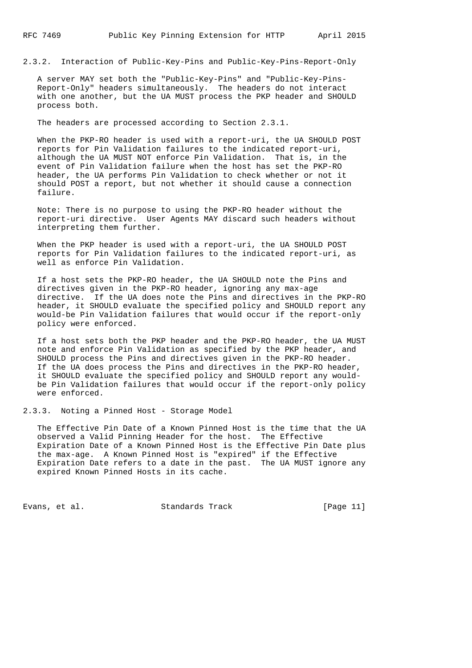2.3.2. Interaction of Public-Key-Pins and Public-Key-Pins-Report-Only

 A server MAY set both the "Public-Key-Pins" and "Public-Key-Pins- Report-Only" headers simultaneously. The headers do not interact with one another, but the UA MUST process the PKP header and SHOULD process both.

The headers are processed according to Section 2.3.1.

When the PKP-RO header is used with a report-uri, the UA SHOULD POST reports for Pin Validation failures to the indicated report-uri, although the UA MUST NOT enforce Pin Validation. That is, in the event of Pin Validation failure when the host has set the PKP-RO header, the UA performs Pin Validation to check whether or not it should POST a report, but not whether it should cause a connection failure.

 Note: There is no purpose to using the PKP-RO header without the report-uri directive. User Agents MAY discard such headers without interpreting them further.

 When the PKP header is used with a report-uri, the UA SHOULD POST reports for Pin Validation failures to the indicated report-uri, as well as enforce Pin Validation.

 If a host sets the PKP-RO header, the UA SHOULD note the Pins and directives given in the PKP-RO header, ignoring any max-age directive. If the UA does note the Pins and directives in the PKP-RO header, it SHOULD evaluate the specified policy and SHOULD report any would-be Pin Validation failures that would occur if the report-only policy were enforced.

 If a host sets both the PKP header and the PKP-RO header, the UA MUST note and enforce Pin Validation as specified by the PKP header, and SHOULD process the Pins and directives given in the PKP-RO header. If the UA does process the Pins and directives in the PKP-RO header, it SHOULD evaluate the specified policy and SHOULD report any would be Pin Validation failures that would occur if the report-only policy were enforced.

2.3.3. Noting a Pinned Host - Storage Model

 The Effective Pin Date of a Known Pinned Host is the time that the UA observed a Valid Pinning Header for the host. The Effective Expiration Date of a Known Pinned Host is the Effective Pin Date plus the max-age. A Known Pinned Host is "expired" if the Effective Expiration Date refers to a date in the past. The UA MUST ignore any expired Known Pinned Hosts in its cache.

Evans, et al. Standards Track [Page 11]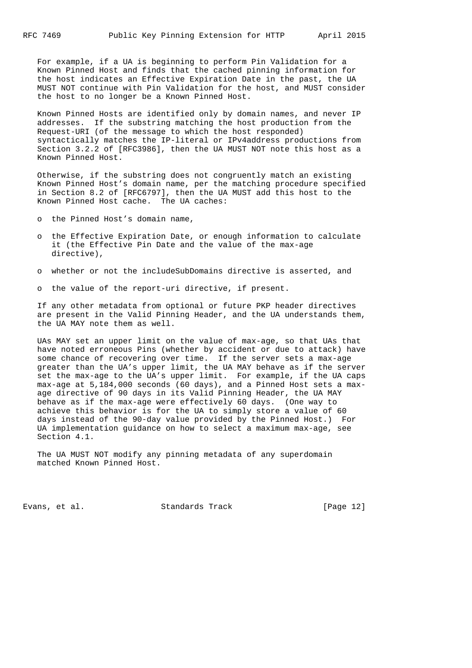For example, if a UA is beginning to perform Pin Validation for a Known Pinned Host and finds that the cached pinning information for the host indicates an Effective Expiration Date in the past, the UA MUST NOT continue with Pin Validation for the host, and MUST consider the host to no longer be a Known Pinned Host.

 Known Pinned Hosts are identified only by domain names, and never IP addresses. If the substring matching the host production from the Request-URI (of the message to which the host responded) syntactically matches the IP-literal or IPv4address productions from Section 3.2.2 of [RFC3986], then the UA MUST NOT note this host as a Known Pinned Host.

 Otherwise, if the substring does not congruently match an existing Known Pinned Host's domain name, per the matching procedure specified in Section 8.2 of [RFC6797], then the UA MUST add this host to the Known Pinned Host cache. The UA caches:

o the Pinned Host's domain name,

- o the Effective Expiration Date, or enough information to calculate it (the Effective Pin Date and the value of the max-age directive),
- o whether or not the includeSubDomains directive is asserted, and
- o the value of the report-uri directive, if present.

 If any other metadata from optional or future PKP header directives are present in the Valid Pinning Header, and the UA understands them, the UA MAY note them as well.

 UAs MAY set an upper limit on the value of max-age, so that UAs that have noted erroneous Pins (whether by accident or due to attack) have some chance of recovering over time. If the server sets a max-age greater than the UA's upper limit, the UA MAY behave as if the server set the max-age to the UA's upper limit. For example, if the UA caps max-age at 5,184,000 seconds (60 days), and a Pinned Host sets a max age directive of 90 days in its Valid Pinning Header, the UA MAY behave as if the max-age were effectively 60 days. (One way to achieve this behavior is for the UA to simply store a value of 60 days instead of the 90-day value provided by the Pinned Host.) For UA implementation guidance on how to select a maximum max-age, see Section 4.1.

 The UA MUST NOT modify any pinning metadata of any superdomain matched Known Pinned Host.

Evans, et al. Standards Track [Page 12]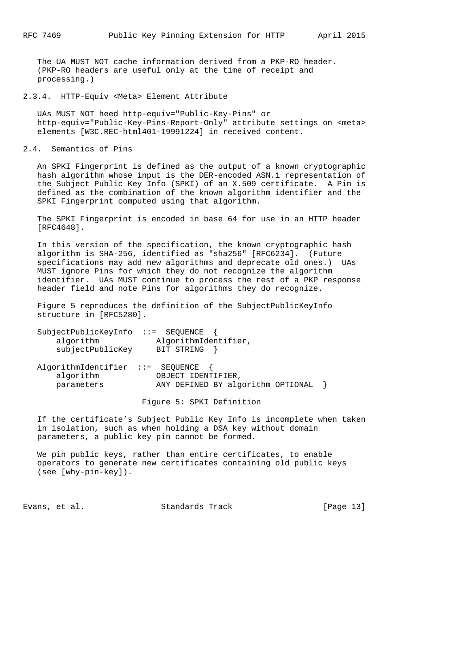The UA MUST NOT cache information derived from a PKP-RO header. (PKP-RO headers are useful only at the time of receipt and processing.)

2.3.4. HTTP-Equiv <Meta> Element Attribute

 UAs MUST NOT heed http-equiv="Public-Key-Pins" or http-equiv="Public-Key-Pins-Report-Only" attribute settings on <meta> elements [W3C.REC-html401-19991224] in received content.

2.4. Semantics of Pins

 An SPKI Fingerprint is defined as the output of a known cryptographic hash algorithm whose input is the DER-encoded ASN.1 representation of the Subject Public Key Info (SPKI) of an X.509 certificate. A Pin is defined as the combination of the known algorithm identifier and the SPKI Fingerprint computed using that algorithm.

 The SPKI Fingerprint is encoded in base 64 for use in an HTTP header [RFC4648].

 In this version of the specification, the known cryptographic hash algorithm is SHA-256, identified as "sha256" [RFC6234]. (Future specifications may add new algorithms and deprecate old ones.) UAs MUST ignore Pins for which they do not recognize the algorithm identifier. UAs MUST continue to process the rest of a PKP response header field and note Pins for algorithms they do recognize.

 Figure 5 reproduces the definition of the SubjectPublicKeyInfo structure in [RFC5280].

| SubjectPublicKeyInfo | $\mathcal{L} := \mathbb{S}$ EOUENCE |
|----------------------|-------------------------------------|
| algorithm            | AlgorithmIdentifier,                |
| subjectPublicKey     | BIT STRING                          |

AlgorithmIdentifier ::= SEQUENCE { algorithm OBJECT IDENTIFIER, parameters ANY DEFINED BY algorithm OPTIONAL }

Figure 5: SPKI Definition

 If the certificate's Subject Public Key Info is incomplete when taken in isolation, such as when holding a DSA key without domain parameters, a public key pin cannot be formed.

 We pin public keys, rather than entire certificates, to enable operators to generate new certificates containing old public keys (see [why-pin-key]).

Evans, et al. Standards Track [Page 13]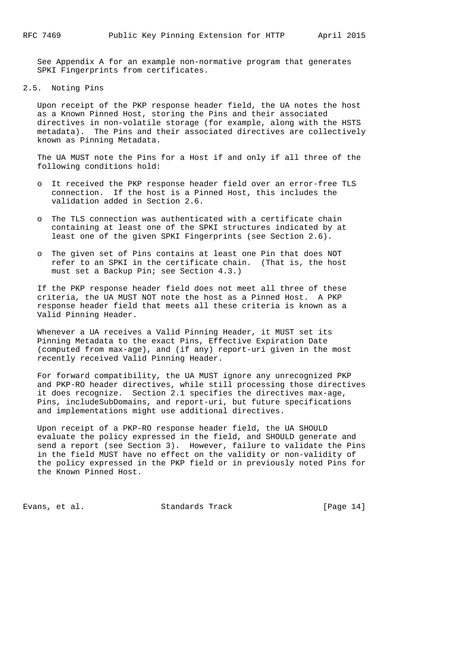See Appendix A for an example non-normative program that generates SPKI Fingerprints from certificates.

#### 2.5. Noting Pins

 Upon receipt of the PKP response header field, the UA notes the host as a Known Pinned Host, storing the Pins and their associated directives in non-volatile storage (for example, along with the HSTS metadata). The Pins and their associated directives are collectively known as Pinning Metadata.

 The UA MUST note the Pins for a Host if and only if all three of the following conditions hold:

- o It received the PKP response header field over an error-free TLS connection. If the host is a Pinned Host, this includes the validation added in Section 2.6.
- o The TLS connection was authenticated with a certificate chain containing at least one of the SPKI structures indicated by at least one of the given SPKI Fingerprints (see Section 2.6).
- o The given set of Pins contains at least one Pin that does NOT refer to an SPKI in the certificate chain. (That is, the host must set a Backup Pin; see Section 4.3.)

 If the PKP response header field does not meet all three of these criteria, the UA MUST NOT note the host as a Pinned Host. A PKP response header field that meets all these criteria is known as a Valid Pinning Header.

 Whenever a UA receives a Valid Pinning Header, it MUST set its Pinning Metadata to the exact Pins, Effective Expiration Date (computed from max-age), and (if any) report-uri given in the most recently received Valid Pinning Header.

 For forward compatibility, the UA MUST ignore any unrecognized PKP and PKP-RO header directives, while still processing those directives it does recognize. Section 2.1 specifies the directives max-age, Pins, includeSubDomains, and report-uri, but future specifications and implementations might use additional directives.

 Upon receipt of a PKP-RO response header field, the UA SHOULD evaluate the policy expressed in the field, and SHOULD generate and send a report (see Section 3). However, failure to validate the Pins in the field MUST have no effect on the validity or non-validity of the policy expressed in the PKP field or in previously noted Pins for the Known Pinned Host.

Evans, et al. Standards Track [Page 14]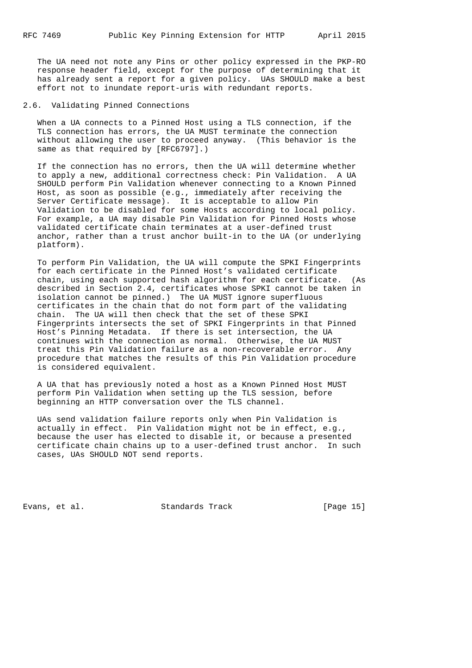The UA need not note any Pins or other policy expressed in the PKP-RO response header field, except for the purpose of determining that it has already sent a report for a given policy. UAs SHOULD make a best effort not to inundate report-uris with redundant reports.

2.6. Validating Pinned Connections

 When a UA connects to a Pinned Host using a TLS connection, if the TLS connection has errors, the UA MUST terminate the connection without allowing the user to proceed anyway. (This behavior is the same as that required by [RFC6797].)

 If the connection has no errors, then the UA will determine whether to apply a new, additional correctness check: Pin Validation. A UA SHOULD perform Pin Validation whenever connecting to a Known Pinned Host, as soon as possible (e.g., immediately after receiving the Server Certificate message). It is acceptable to allow Pin Validation to be disabled for some Hosts according to local policy. For example, a UA may disable Pin Validation for Pinned Hosts whose validated certificate chain terminates at a user-defined trust anchor, rather than a trust anchor built-in to the UA (or underlying platform).

 To perform Pin Validation, the UA will compute the SPKI Fingerprints for each certificate in the Pinned Host's validated certificate chain, using each supported hash algorithm for each certificate. (As described in Section 2.4, certificates whose SPKI cannot be taken in isolation cannot be pinned.) The UA MUST ignore superfluous certificates in the chain that do not form part of the validating chain. The UA will then check that the set of these SPKI Fingerprints intersects the set of SPKI Fingerprints in that Pinned Host's Pinning Metadata. If there is set intersection, the UA continues with the connection as normal. Otherwise, the UA MUST treat this Pin Validation failure as a non-recoverable error. Any procedure that matches the results of this Pin Validation procedure is considered equivalent.

 A UA that has previously noted a host as a Known Pinned Host MUST perform Pin Validation when setting up the TLS session, before beginning an HTTP conversation over the TLS channel.

 UAs send validation failure reports only when Pin Validation is actually in effect. Pin Validation might not be in effect, e.g., because the user has elected to disable it, or because a presented certificate chain chains up to a user-defined trust anchor. In such cases, UAs SHOULD NOT send reports.

Evans, et al. Standards Track [Page 15]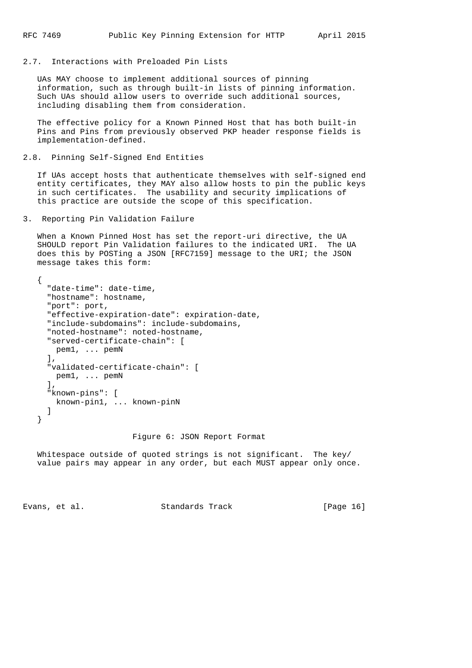#### 2.7. Interactions with Preloaded Pin Lists

 UAs MAY choose to implement additional sources of pinning information, such as through built-in lists of pinning information. Such UAs should allow users to override such additional sources, including disabling them from consideration.

 The effective policy for a Known Pinned Host that has both built-in Pins and Pins from previously observed PKP header response fields is implementation-defined.

#### 2.8. Pinning Self-Signed End Entities

 If UAs accept hosts that authenticate themselves with self-signed end entity certificates, they MAY also allow hosts to pin the public keys in such certificates. The usability and security implications of this practice are outside the scope of this specification.

3. Reporting Pin Validation Failure

 When a Known Pinned Host has set the report-uri directive, the UA SHOULD report Pin Validation failures to the indicated URI. The UA does this by POSTing a JSON [RFC7159] message to the URI; the JSON message takes this form:

```
 {
   "date-time": date-time,
   "hostname": hostname,
   "port": port,
   "effective-expiration-date": expiration-date,
   "include-subdomains": include-subdomains,
   "noted-hostname": noted-hostname,
   "served-certificate-chain": [
    pem1, ... pemN
   ],
   "validated-certificate-chain": [
   pem1, ... pemN
   ],
   "known-pins": [
    known-pin1, ... known-pinN
   ]
 }
```
### Figure 6: JSON Report Format

 Whitespace outside of quoted strings is not significant. The key/ value pairs may appear in any order, but each MUST appear only once.

Evans, et al. Standards Track [Page 16]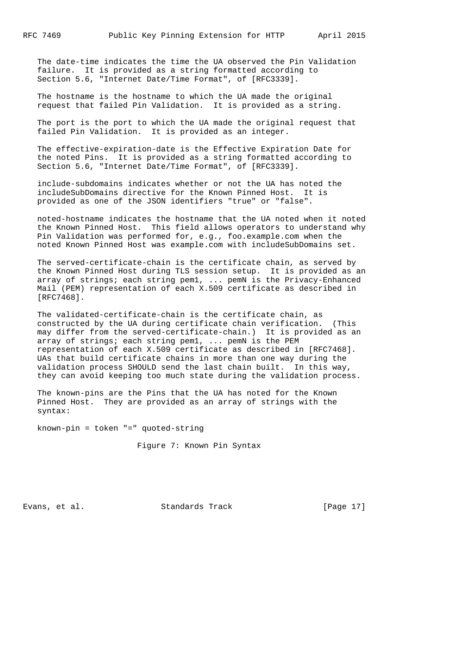The date-time indicates the time the UA observed the Pin Validation failure. It is provided as a string formatted according to Section 5.6, "Internet Date/Time Format", of [RFC3339].

 The hostname is the hostname to which the UA made the original request that failed Pin Validation. It is provided as a string.

 The port is the port to which the UA made the original request that failed Pin Validation. It is provided as an integer.

 The effective-expiration-date is the Effective Expiration Date for the noted Pins. It is provided as a string formatted according to Section 5.6, "Internet Date/Time Format", of [RFC3339].

 include-subdomains indicates whether or not the UA has noted the includeSubDomains directive for the Known Pinned Host. It is provided as one of the JSON identifiers "true" or "false".

 noted-hostname indicates the hostname that the UA noted when it noted the Known Pinned Host. This field allows operators to understand why Pin Validation was performed for, e.g., foo.example.com when the noted Known Pinned Host was example.com with includeSubDomains set.

 The served-certificate-chain is the certificate chain, as served by the Known Pinned Host during TLS session setup. It is provided as an array of strings; each string pem1, ... pemN is the Privacy-Enhanced Mail (PEM) representation of each X.509 certificate as described in [RFC7468].

 The validated-certificate-chain is the certificate chain, as constructed by the UA during certificate chain verification. (This may differ from the served-certificate-chain.) It is provided as an array of strings; each string pem1, ... pemN is the PEM representation of each X.509 certificate as described in [RFC7468]. UAs that build certificate chains in more than one way during the validation process SHOULD send the last chain built. In this way, they can avoid keeping too much state during the validation process.

 The known-pins are the Pins that the UA has noted for the Known Pinned Host. They are provided as an array of strings with the syntax:

known-pin = token "=" quoted-string

Figure 7: Known Pin Syntax

Evans, et al. Standards Track [Page 17]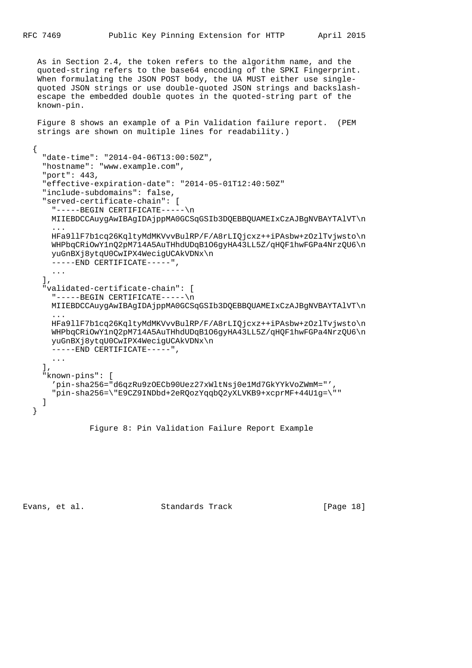As in Section 2.4, the token refers to the algorithm name, and the quoted-string refers to the base64 encoding of the SPKI Fingerprint. When formulating the JSON POST body, the UA MUST either use single quoted JSON strings or use double-quoted JSON strings and backslash escape the embedded double quotes in the quoted-string part of the known-pin.

 Figure 8 shows an example of a Pin Validation failure report. (PEM strings are shown on multiple lines for readability.)

```
 {
     "date-time": "2014-04-06T13:00:50Z",
     "hostname": "www.example.com",
     "port": 443,
     "effective-expiration-date": "2014-05-01T12:40:50Z"
     "include-subdomains": false,
     "served-certificate-chain": [
       "-----BEGIN CERTIFICATE-----\n
      MIIEBDCCAuygAwIBAgIDAjppMA0GCSqGSIb3DQEBBQUAMEIxCzAJBgNVBAYTAlVT\n
      ...
      HFa9llF7b1cq26KqltyMdMKVvvBulRP/F/A8rLIQjcxz++iPAsbw+zOzlTvjwsto\n
      WHPbqCRiOwY1nQ2pM714A5AuTHhdUDqB1O6gyHA43LL5Z/qHQF1hwFGPa4NrzQU6\n
      yuGnBXj8ytqU0CwIPX4WecigUCAkVDNx\n
       -----END CERTIFICATE-----",
       ...
     ],
     "validated-certificate-chain": [
      "-----BEGIN CERTIFICATE-----\n
      MIIEBDCCAuygAwIBAgIDAjppMA0GCSqGSIb3DQEBBQUAMEIxCzAJBgNVBAYTAlVT\n
 ...
      HFa9llF7b1cq26KqltyMdMKVvvBulRP/F/A8rLIQjcxz++iPAsbw+zOzlTvjwsto\n
      WHPbqCRiOwY1nQ2pM714A5AuTHhdUDqB1O6gyHA43LL5Z/qHQF1hwFGPa4NrzQU6\n
      yuGnBXj8ytqU0CwIPX4WecigUCAkVDNx\n
       -----END CERTIFICATE-----",
       ...
    \mathbf{I},
     "known-pins": [
      'pin-sha256="d6qzRu9zOECb90Uez27xWltNsj0e1Md7GkYYkVoZWmM="',
       "pin-sha256=\"E9CZ9INDbd+2eRQozYqqbQ2yXLVKB9+xcprMF+44U1g=\""
     ]
   }
```

```
 Figure 8: Pin Validation Failure Report Example
```
Evans, et al. Standards Track [Page 18]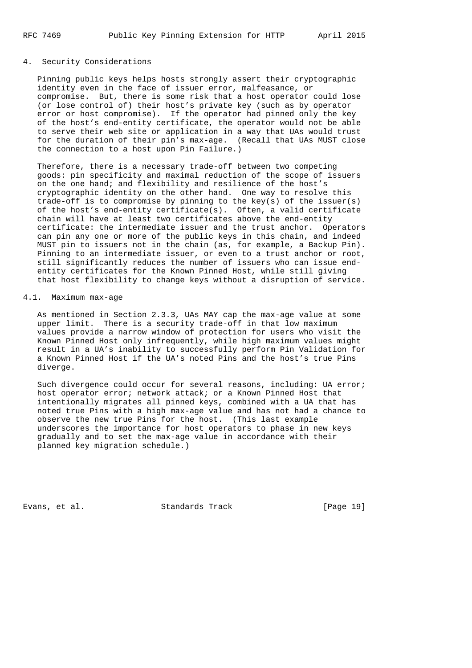### 4. Security Considerations

 Pinning public keys helps hosts strongly assert their cryptographic identity even in the face of issuer error, malfeasance, or compromise. But, there is some risk that a host operator could lose (or lose control of) their host's private key (such as by operator error or host compromise). If the operator had pinned only the key of the host's end-entity certificate, the operator would not be able to serve their web site or application in a way that UAs would trust for the duration of their pin's max-age. (Recall that UAs MUST close the connection to a host upon Pin Failure.)

 Therefore, there is a necessary trade-off between two competing goods: pin specificity and maximal reduction of the scope of issuers on the one hand; and flexibility and resilience of the host's cryptographic identity on the other hand. One way to resolve this trade-off is to compromise by pinning to the key(s) of the issuer(s) of the host's end-entity certificate(s). Often, a valid certificate chain will have at least two certificates above the end-entity certificate: the intermediate issuer and the trust anchor. Operators can pin any one or more of the public keys in this chain, and indeed MUST pin to issuers not in the chain (as, for example, a Backup Pin). Pinning to an intermediate issuer, or even to a trust anchor or root, still significantly reduces the number of issuers who can issue end entity certificates for the Known Pinned Host, while still giving that host flexibility to change keys without a disruption of service.

### 4.1. Maximum max-age

 As mentioned in Section 2.3.3, UAs MAY cap the max-age value at some upper limit. There is a security trade-off in that low maximum values provide a narrow window of protection for users who visit the Known Pinned Host only infrequently, while high maximum values might result in a UA's inability to successfully perform Pin Validation for a Known Pinned Host if the UA's noted Pins and the host's true Pins diverge.

 Such divergence could occur for several reasons, including: UA error; host operator error; network attack; or a Known Pinned Host that intentionally migrates all pinned keys, combined with a UA that has noted true Pins with a high max-age value and has not had a chance to observe the new true Pins for the host. (This last example underscores the importance for host operators to phase in new keys gradually and to set the max-age value in accordance with their planned key migration schedule.)

Evans, et al. Standards Track [Page 19]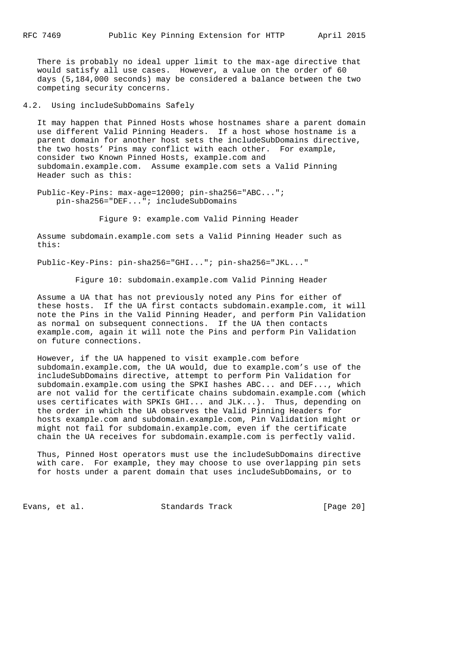There is probably no ideal upper limit to the max-age directive that would satisfy all use cases. However, a value on the order of 60 days (5,184,000 seconds) may be considered a balance between the two competing security concerns.

4.2. Using includeSubDomains Safely

 It may happen that Pinned Hosts whose hostnames share a parent domain use different Valid Pinning Headers. If a host whose hostname is a parent domain for another host sets the includeSubDomains directive, the two hosts' Pins may conflict with each other. For example, consider two Known Pinned Hosts, example.com and subdomain.example.com. Assume example.com sets a Valid Pinning Header such as this:

 Public-Key-Pins: max-age=12000; pin-sha256="ABC..."; pin-sha256="DEF..."; includeSubDomains

Figure 9: example.com Valid Pinning Header

 Assume subdomain.example.com sets a Valid Pinning Header such as this:

Public-Key-Pins: pin-sha256="GHI..."; pin-sha256="JKL..."

Figure 10: subdomain.example.com Valid Pinning Header

 Assume a UA that has not previously noted any Pins for either of these hosts. If the UA first contacts subdomain.example.com, it will note the Pins in the Valid Pinning Header, and perform Pin Validation as normal on subsequent connections. If the UA then contacts example.com, again it will note the Pins and perform Pin Validation on future connections.

 However, if the UA happened to visit example.com before subdomain.example.com, the UA would, due to example.com's use of the includeSubDomains directive, attempt to perform Pin Validation for subdomain.example.com using the SPKI hashes ABC... and DEF..., which are not valid for the certificate chains subdomain.example.com (which uses certificates with SPKIs GHI... and JLK...). Thus, depending on the order in which the UA observes the Valid Pinning Headers for hosts example.com and subdomain.example.com, Pin Validation might or might not fail for subdomain.example.com, even if the certificate chain the UA receives for subdomain.example.com is perfectly valid.

 Thus, Pinned Host operators must use the includeSubDomains directive with care. For example, they may choose to use overlapping pin sets for hosts under a parent domain that uses includeSubDomains, or to

Evans, et al. Standards Track [Page 20]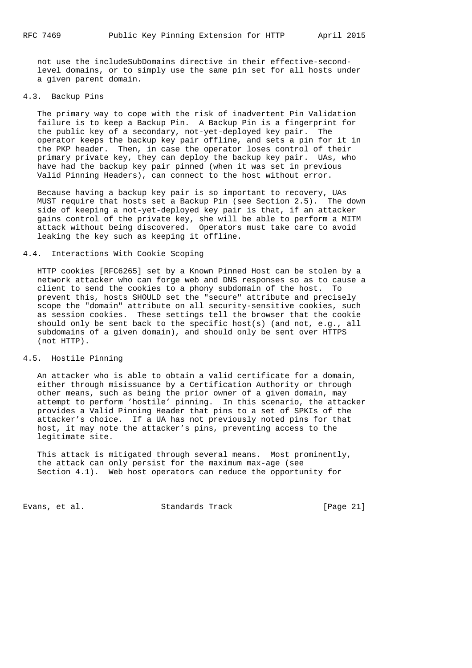not use the includeSubDomains directive in their effective-second level domains, or to simply use the same pin set for all hosts under a given parent domain.

# 4.3. Backup Pins

 The primary way to cope with the risk of inadvertent Pin Validation failure is to keep a Backup Pin. A Backup Pin is a fingerprint for the public key of a secondary, not-yet-deployed key pair. The operator keeps the backup key pair offline, and sets a pin for it in the PKP header. Then, in case the operator loses control of their primary private key, they can deploy the backup key pair. UAs, who have had the backup key pair pinned (when it was set in previous Valid Pinning Headers), can connect to the host without error.

 Because having a backup key pair is so important to recovery, UAs MUST require that hosts set a Backup Pin (see Section 2.5). The down side of keeping a not-yet-deployed key pair is that, if an attacker gains control of the private key, she will be able to perform a MITM attack without being discovered. Operators must take care to avoid leaking the key such as keeping it offline.

#### 4.4. Interactions With Cookie Scoping

 HTTP cookies [RFC6265] set by a Known Pinned Host can be stolen by a network attacker who can forge web and DNS responses so as to cause a client to send the cookies to a phony subdomain of the host. To prevent this, hosts SHOULD set the "secure" attribute and precisely scope the "domain" attribute on all security-sensitive cookies, such as session cookies. These settings tell the browser that the cookie should only be sent back to the specific host(s) (and not, e.g., all subdomains of a given domain), and should only be sent over HTTPS (not HTTP).

#### 4.5. Hostile Pinning

 An attacker who is able to obtain a valid certificate for a domain, either through misissuance by a Certification Authority or through other means, such as being the prior owner of a given domain, may attempt to perform 'hostile' pinning. In this scenario, the attacker provides a Valid Pinning Header that pins to a set of SPKIs of the attacker's choice. If a UA has not previously noted pins for that host, it may note the attacker's pins, preventing access to the legitimate site.

 This attack is mitigated through several means. Most prominently, the attack can only persist for the maximum max-age (see Section 4.1). Web host operators can reduce the opportunity for

Evans, et al. Standards Track [Page 21]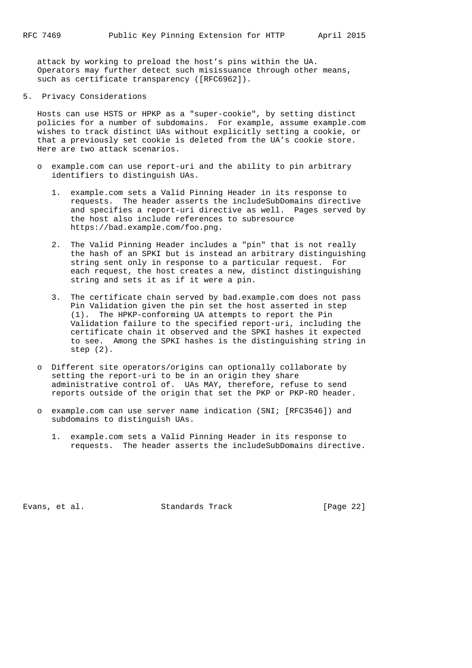attack by working to preload the host's pins within the UA. Operators may further detect such misissuance through other means, such as certificate transparency ([RFC6962]).

5. Privacy Considerations

 Hosts can use HSTS or HPKP as a "super-cookie", by setting distinct policies for a number of subdomains. For example, assume example.com wishes to track distinct UAs without explicitly setting a cookie, or that a previously set cookie is deleted from the UA's cookie store. Here are two attack scenarios.

- o example.com can use report-uri and the ability to pin arbitrary identifiers to distinguish UAs.
	- 1. example.com sets a Valid Pinning Header in its response to requests. The header asserts the includeSubDomains directive and specifies a report-uri directive as well. Pages served by the host also include references to subresource https://bad.example.com/foo.png.
	- 2. The Valid Pinning Header includes a "pin" that is not really the hash of an SPKI but is instead an arbitrary distinguishing string sent only in response to a particular request. For each request, the host creates a new, distinct distinguishing string and sets it as if it were a pin.
	- 3. The certificate chain served by bad.example.com does not pass Pin Validation given the pin set the host asserted in step (1). The HPKP-conforming UA attempts to report the Pin Validation failure to the specified report-uri, including the certificate chain it observed and the SPKI hashes it expected to see. Among the SPKI hashes is the distinguishing string in step (2).
- o Different site operators/origins can optionally collaborate by setting the report-uri to be in an origin they share administrative control of. UAs MAY, therefore, refuse to send reports outside of the origin that set the PKP or PKP-RO header.
- o example.com can use server name indication (SNI; [RFC3546]) and subdomains to distinguish UAs.
	- 1. example.com sets a Valid Pinning Header in its response to requests. The header asserts the includeSubDomains directive.

Evans, et al. Standards Track [Page 22]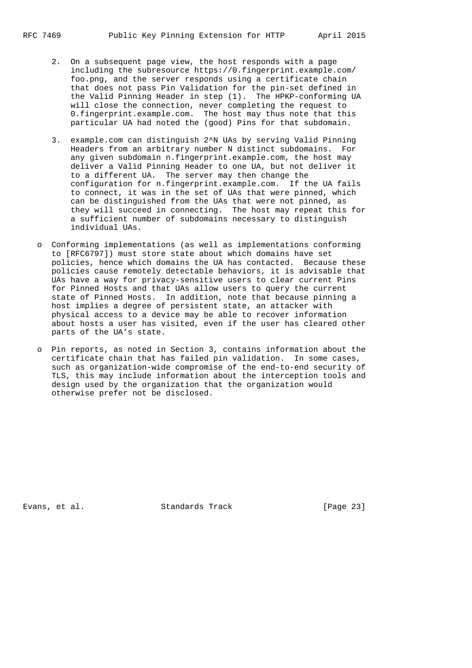- 2. On a subsequent page view, the host responds with a page including the subresource https://0.fingerprint.example.com/ foo.png, and the server responds using a certificate chain that does not pass Pin Validation for the pin-set defined in the Valid Pinning Header in step (1). The HPKP-conforming UA will close the connection, never completing the request to 0.fingerprint.example.com. The host may thus note that this particular UA had noted the (good) Pins for that subdomain.
- 3. example.com can distinguish 2^N UAs by serving Valid Pinning Headers from an arbitrary number N distinct subdomains. For any given subdomain n.fingerprint.example.com, the host may deliver a Valid Pinning Header to one UA, but not deliver it to a different UA. The server may then change the configuration for n.fingerprint.example.com. If the UA fails to connect, it was in the set of UAs that were pinned, which can be distinguished from the UAs that were not pinned, as they will succeed in connecting. The host may repeat this for a sufficient number of subdomains necessary to distinguish individual UAs.
- o Conforming implementations (as well as implementations conforming to [RFC6797]) must store state about which domains have set policies, hence which domains the UA has contacted. Because these policies cause remotely detectable behaviors, it is advisable that UAs have a way for privacy-sensitive users to clear current Pins for Pinned Hosts and that UAs allow users to query the current state of Pinned Hosts. In addition, note that because pinning a host implies a degree of persistent state, an attacker with physical access to a device may be able to recover information about hosts a user has visited, even if the user has cleared other parts of the UA's state.
- o Pin reports, as noted in Section 3, contains information about the certificate chain that has failed pin validation. In some cases, such as organization-wide compromise of the end-to-end security of TLS, this may include information about the interception tools and design used by the organization that the organization would otherwise prefer not be disclosed.

Evans, et al. Standards Track [Page 23]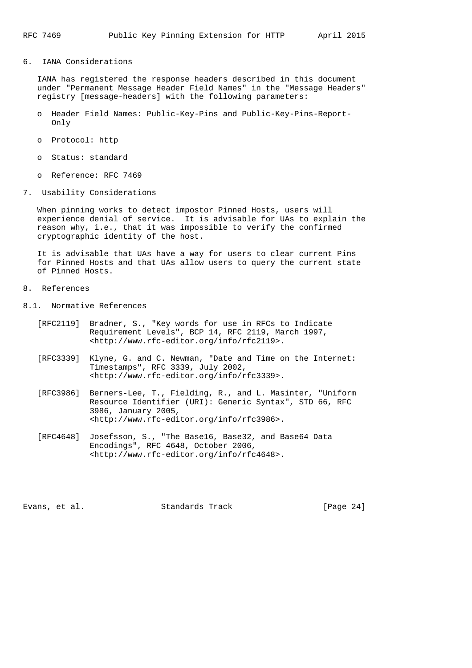6. IANA Considerations

 IANA has registered the response headers described in this document under "Permanent Message Header Field Names" in the "Message Headers" registry [message-headers] with the following parameters:

- o Header Field Names: Public-Key-Pins and Public-Key-Pins-Report- Only
- o Protocol: http
- o Status: standard
- o Reference: RFC 7469
- 7. Usability Considerations

 When pinning works to detect impostor Pinned Hosts, users will experience denial of service. It is advisable for UAs to explain the reason why, i.e., that it was impossible to verify the confirmed cryptographic identity of the host.

 It is advisable that UAs have a way for users to clear current Pins for Pinned Hosts and that UAs allow users to query the current state of Pinned Hosts.

- 8. References
- 8.1. Normative References
	- [RFC2119] Bradner, S., "Key words for use in RFCs to Indicate Requirement Levels", BCP 14, RFC 2119, March 1997, <http://www.rfc-editor.org/info/rfc2119>.
	- [RFC3339] Klyne, G. and C. Newman, "Date and Time on the Internet: Timestamps", RFC 3339, July 2002, <http://www.rfc-editor.org/info/rfc3339>.
	- [RFC3986] Berners-Lee, T., Fielding, R., and L. Masinter, "Uniform Resource Identifier (URI): Generic Syntax", STD 66, RFC 3986, January 2005, <http://www.rfc-editor.org/info/rfc3986>.
	- [RFC4648] Josefsson, S., "The Base16, Base32, and Base64 Data Encodings", RFC 4648, October 2006, <http://www.rfc-editor.org/info/rfc4648>.

Evans, et al. Standards Track [Page 24]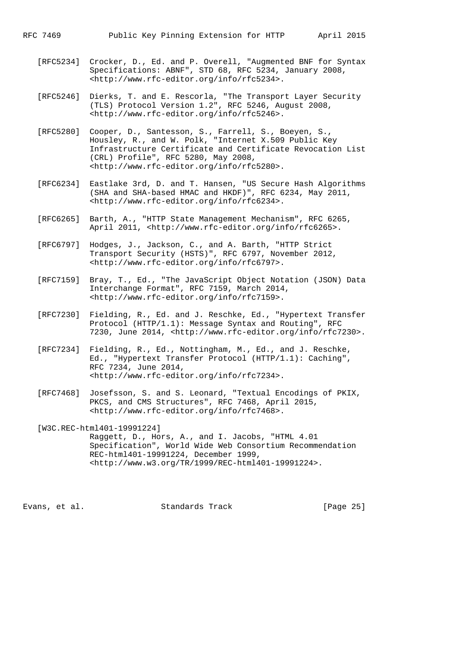- [RFC5234] Crocker, D., Ed. and P. Overell, "Augmented BNF for Syntax Specifications: ABNF", STD 68, RFC 5234, January 2008, <http://www.rfc-editor.org/info/rfc5234>.
- [RFC5246] Dierks, T. and E. Rescorla, "The Transport Layer Security (TLS) Protocol Version 1.2", RFC 5246, August 2008, <http://www.rfc-editor.org/info/rfc5246>.
	- [RFC5280] Cooper, D., Santesson, S., Farrell, S., Boeyen, S., Housley, R., and W. Polk, "Internet X.509 Public Key Infrastructure Certificate and Certificate Revocation List (CRL) Profile", RFC 5280, May 2008, <http://www.rfc-editor.org/info/rfc5280>.
	- [RFC6234] Eastlake 3rd, D. and T. Hansen, "US Secure Hash Algorithms (SHA and SHA-based HMAC and HKDF)", RFC 6234, May 2011, <http://www.rfc-editor.org/info/rfc6234>.
	- [RFC6265] Barth, A., "HTTP State Management Mechanism", RFC 6265, April 2011, <http://www.rfc-editor.org/info/rfc6265>.
	- [RFC6797] Hodges, J., Jackson, C., and A. Barth, "HTTP Strict Transport Security (HSTS)", RFC 6797, November 2012, <http://www.rfc-editor.org/info/rfc6797>.
	- [RFC7159] Bray, T., Ed., "The JavaScript Object Notation (JSON) Data Interchange Format", RFC 7159, March 2014, <http://www.rfc-editor.org/info/rfc7159>.
	- [RFC7230] Fielding, R., Ed. and J. Reschke, Ed., "Hypertext Transfer Protocol (HTTP/1.1): Message Syntax and Routing", RFC 7230, June 2014, <http://www.rfc-editor.org/info/rfc7230>.
	- [RFC7234] Fielding, R., Ed., Nottingham, M., Ed., and J. Reschke, Ed., "Hypertext Transfer Protocol (HTTP/1.1): Caching", RFC 7234, June 2014, <http://www.rfc-editor.org/info/rfc7234>.
	- [RFC7468] Josefsson, S. and S. Leonard, "Textual Encodings of PKIX, PKCS, and CMS Structures", RFC 7468, April 2015, <http://www.rfc-editor.org/info/rfc7468>.
	- [W3C.REC-html401-19991224] Raggett, D., Hors, A., and I. Jacobs, "HTML 4.01 Specification", World Wide Web Consortium Recommendation REC-html401-19991224, December 1999, <http://www.w3.org/TR/1999/REC-html401-19991224>.

Evans, et al. Standards Track [Page 25]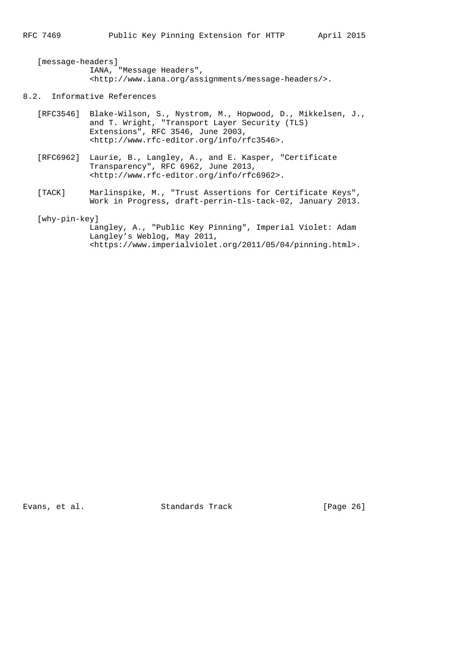[message-headers] IANA, "Message Headers", <http://www.iana.org/assignments/message-headers/>.

### 8.2. Informative References

- [RFC3546] Blake-Wilson, S., Nystrom, M., Hopwood, D., Mikkelsen, J., and T. Wright, "Transport Layer Security (TLS) Extensions", RFC 3546, June 2003, <http://www.rfc-editor.org/info/rfc3546>.
- [RFC6962] Laurie, B., Langley, A., and E. Kasper, "Certificate Transparency", RFC 6962, June 2013, <http://www.rfc-editor.org/info/rfc6962>.
- [TACK] Marlinspike, M., "Trust Assertions for Certificate Keys", Work in Progress, draft-perrin-tls-tack-02, January 2013.

[why-pin-key]

```
 Langley, A., "Public Key Pinning", Imperial Violet: Adam
 Langley's Weblog, May 2011,
 <https://www.imperialviolet.org/2011/05/04/pinning.html>.
```
Evans, et al. Standards Track [Page 26]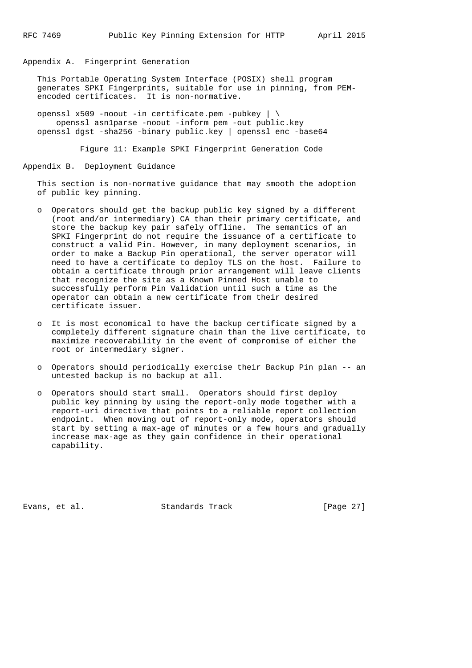Appendix A. Fingerprint Generation

 This Portable Operating System Interface (POSIX) shell program generates SPKI Fingerprints, suitable for use in pinning, from PEM encoded certificates. It is non-normative.

 openssl x509 -noout -in certificate.pem -pubkey | \ openssl asn1parse -noout -inform pem -out public.key openssl dgst -sha256 -binary public.key | openssl enc -base64

Figure 11: Example SPKI Fingerprint Generation Code

Appendix B. Deployment Guidance

 This section is non-normative guidance that may smooth the adoption of public key pinning.

- o Operators should get the backup public key signed by a different (root and/or intermediary) CA than their primary certificate, and store the backup key pair safely offline. The semantics of an SPKI Fingerprint do not require the issuance of a certificate to construct a valid Pin. However, in many deployment scenarios, in order to make a Backup Pin operational, the server operator will need to have a certificate to deploy TLS on the host. Failure to obtain a certificate through prior arrangement will leave clients that recognize the site as a Known Pinned Host unable to successfully perform Pin Validation until such a time as the operator can obtain a new certificate from their desired certificate issuer.
- o It is most economical to have the backup certificate signed by a completely different signature chain than the live certificate, to maximize recoverability in the event of compromise of either the root or intermediary signer.
- o Operators should periodically exercise their Backup Pin plan -- an untested backup is no backup at all.
- o Operators should start small. Operators should first deploy public key pinning by using the report-only mode together with a report-uri directive that points to a reliable report collection endpoint. When moving out of report-only mode, operators should start by setting a max-age of minutes or a few hours and gradually increase max-age as they gain confidence in their operational capability.

Evans, et al. Standards Track [Page 27]